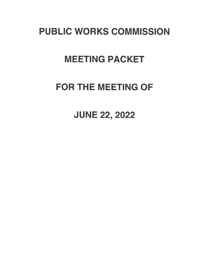# PUBLIC WORKS COMMISSION

## MEETING PACKET

## FOR THE MEETING OF

### JUNE 22, 2022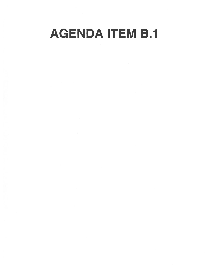# AGENDA ITEM B.1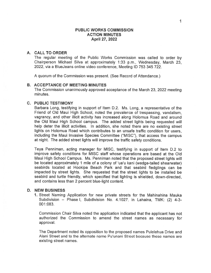#### PUBLIC WORKS COMMISSION ACTION MINUTES April 27, 2022

#### A. CALL TO ORDER

The regular meeting of the Public Works Commission was called to order by Chairperson Michael Silva at approximately 1:33 p.m., Wednesday, March 23, 2022, via <sup>a</sup> BlueJeans online video conference, Meeting ID 753 345 722.

A quorum of the Commission was present. (See Record of Attendance.)

#### B. ACCEPTANCE OF MEETING MINUTES

The Commission unanimously approved acceptance of the March 23, 2022 meeting minutes.

#### C. PUBLIC TESTIMONY

Barbara Long, testifying in suppor<sup>t</sup> of Item D.2. Ms. Long, <sup>a</sup> representative of the Friend of Old Maui High School, noted the prevalence of trespassing, vandalism, vagrancy, and other illicit activity has increased along Holomua Road and around the Old Maui High School campus. The added street lights being requested will help deter the illicit activities. In addition, she noted there are no existing street lights on Holomua Road which contributes to an unsafe traffic condition for users, including the Maui Invasive Species Committee ("MISC"), that access the campus at night. The added street lights will improve the traffic safety conditions.

Teya Penniman, acting manager for MISC, testifying in suppor<sup>t</sup> of Item D.2 to improve safety conditions for MISC staff whose operations are based at the Old Maui High School Campus. Ms. Penniman noted that the proposed street lights will be located approximately <sup>1</sup> mile of <sup>a</sup> colony of 'ua'u kani (wedge-tailed shearwater) seabirds located at Hookipa Beach Park and that seabird fledglings can be impacted by street lights. She requested that the street lights to be installed be seabird and turtle friendly, which specified that lighting is shielded, down-directed, and contains less than 2 percen<sup>t</sup> blue-light content.

#### D. NEW BUSINESS

1. Street Naming Application for new private streets for the Mahinahina Mauka Subdivision — Phase I, Subdivision No. 4.1027, in Lahaina, TMK: (2) 4-3- 001:083.

Commission Chair Silva noted the application indicated that the applicant has not authorized the Commission to amend the street names as necessary for approval.

The Department noted its opposition to the proposed names Pulelehua Drive and Alani Street and to the alternate name Pu'unani Street because these names are existing street names.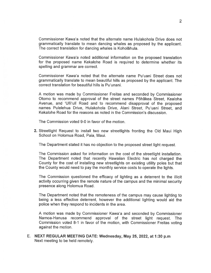Commissioner Kawa'a noted that the atternate name Hulakohola Drive does not grammatically translate to mean dancing whales as proposed by the applicant. The correct translation for dancing whales is Koholãhula.

Commissioner Kawa'a noted additional information on the proposed translation for the proposed name Kekalohe Road is required to determine whether its spelling and grammar are correct.

Commissioner Kawa'a noted that the alternate name Pu'uani Street does not grammatically translate to mean beautiful hills as proposed by the applicant. The correct translation for beautiful hills is Pu'unani.

<sup>A</sup> motion was made by Commissioner Freitas and seconded by Commissioner Otomo to recommend approval of the street names Pohakea Street, Kealoha Avenue, and 'Ulii'uli Road and to recommend disapproval of the proposed names Pulelehua Drive, Hulakohola Drive, Alani Street, Pu'uani Street, and Kekalohe Road for the reasons as noted in the Commission's discussion.

The Commission voted 9-0 in favor of the motion.

2. Streetlight Request to install two new streetlights fronting the Old Maui High School on Holomua Road, Paia, Maui.

The Department stated it has no objection to the proposed street light request.

The Commission asked for information on the cost of the streetlight installation. The Department noted that recently Hawaiian Electric has not charged the County for the cost of installing new streetlights on existing utility poles but that the County would need to pay the monthly service costs to operate the lights.

The Commission questioned the efficacy of lighting as <sup>a</sup> deterrent to the illicit activity occurring <sup>g</sup>iven the remote nature of the campus and the minimal security presence along Holomua Road.

The Department noted that the remoteness of the campus may cause lighting to being <sup>a</sup> less effective deterrent, however the additional lighting would aid the police when they respond to incidents in the area.

<sup>A</sup> motion was made by Commissioner Kawa'a and seconded by Commissioner Namoa-Hanusa recommend approval of the street light request. The Commission voted 8-1 in favor of the motion, with Commissioner Freitas voting against the motion.

E. NEXT REGULAR MEETING DATE: Wednesday, May 25, 2022, at 1:30 p.m Next meeting to be held remotely.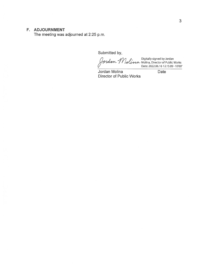#### F. ADJOURNMENT

The meeting was adjourned at 2:25 p.m.

Submitted by,

Digitally signed by Jordan Molina, Director of Public Works Date: 2022.06.16 12:15:09-1000'

Jordan Molina **Date** Director of Public Works

3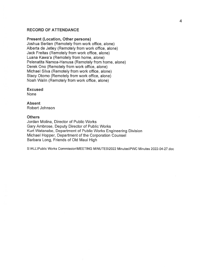#### RECORD OF ATTENDANCE

#### Present (Location, Other persons)

Joshua Berlien (Remotely from work office, alone) Alberta de Jetley (Remotely from work office, alone) Jack Freitas (Remotely from work office, alone) Luana Kawa'a (Remotely from home, alone) Pelenatita Namoa-Hanusa (Remotely from home, alone) Derek Ono (Remotely from work office, alone) Michael Silva (Remotely from work office, alone) Stacy Otomo (Remotely from work office, alone) Noah Walin (Remotely from work office, alone)

Excused

None

Absent Robert Johnson

#### **Others**

Jordan Molina, Director of Public Works Gary Ambrose, Deputy Director of Public Works Kurt Watanabe, Department of Public Works Engineering Division Michael Hopper, Department of the Corporation Counsel Barbara Long, Friends of Old Maui High

S:\ALL\Public Works Commission\MEETING MINUTES\2022 Minutes\PWC Minutes 2022-04-27.doc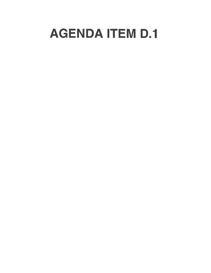# AGENDA ITEM D.1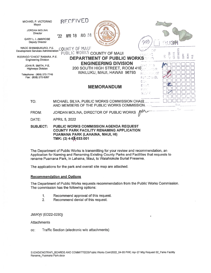| MICHAEL P. VICTORINO<br>Mayor                                 | RECEIVED              |         |                                                                                                                                       |                                   |                                                                                               |
|---------------------------------------------------------------|-----------------------|---------|---------------------------------------------------------------------------------------------------------------------------------------|-----------------------------------|-----------------------------------------------------------------------------------------------|
| <b>JORDAN MOLINA</b><br><b>Director</b>                       | <b>APR 18</b><br>22   | A10 :31 |                                                                                                                                       |                                   |                                                                                               |
| <b>GARY L. I. AMBROSE</b><br><b>Deputy Director</b>           |                       |         |                                                                                                                                       |                                   | 医眼腺                                                                                           |
| WADE SHIMABUKURO, P.E.<br>Development Services Administration | COUNTY OF MAUI        |         | PUBLIC WORKS COUNTY OF MAUI                                                                                                           | 巴比尔哈                              | COMMENTS                                                                                      |
| RODRIGO "CHICO" RABARA, P.E.<br><b>Engineering Division</b>   |                       |         | <b>DEPARTMENT OF PUBLIC WORKS®</b>                                                                                                    |                                   | aria<br>Ba<br>$\mathbb{C}^{-1}$ Oil<br>SCAN<br>FILE<br><b>AdOC</b><br>$\mathop{\mathbb{C}}_7$ |
| JOHN R. SMITH, P.E.<br><b>Highways Division</b>               |                       |         | <b>ENGINEERING DIVISION</b><br>200 SOUTH HIGH STREET, ROOM 410                                                                        |                                   |                                                                                               |
| Telephone: (808) 270-7745<br>Fax: (808) 270-6267              |                       |         | WAILUKU, MAUI, HAWAII 96793                                                                                                           | ilio ana YST<br>PERCONNEL<br>DSA. |                                                                                               |
|                                                               |                       |         | <b>MEMORANDUM</b>                                                                                                                     | ENGR.<br>持定者<br>SISTY.            |                                                                                               |
| TO:                                                           |                       |         | MICHAEL SILVA, PUBLIC WORKS COMMISSION CHAIR.<br>AND MEMBERS OF THE PUBLIC WORKS COMMISSION.                                          |                                   | Oue                                                                                           |
| FROM:                                                         |                       |         | JORDAN MOLINA, DIRECTOR OF PUBLIC WORKS                                                                                               |                                   | ñų,                                                                                           |
| DATE:                                                         | <b>APRIL 5, 2022</b>  |         |                                                                                                                                       |                                   |                                                                                               |
| <b>SUBJECT:</b>                                               | TMK: (2) 4-68-033:001 |         | <b>PUBLIC WORKS COMMISSION AGENDA REQUEST</b><br><b>COUNTY PARK FACILITY RENAMING APPLICATION</b><br>PUAMANA PARK (LAHAINA, MAUI, HI) |                                   |                                                                                               |

The Department of Public Works is transmitting for your review and recommendation, an Application for Naming and Renaming Existing County Parks and Facilities that requests to rename Puamana Park, in Lahaina, Maui, to Waiahiokole Burial Preserve.

The applications for the park and overall site map are attached.

#### **Recommendation and Options**

The Department of Public Works requests recommendation from the Public Works Commission. The commission has the following options:

¥

- $1<sub>1</sub>$ Recommend approval of this request.
- $2.$ Recommend denial of this request.

**JM/KW (ED22-0293)** 

**Attachments** 

Traffic Section (electronic w/o attachments) CC.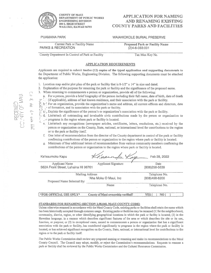

COUNTY OF MAW DEPARTMENT OF PUBLIC WORKS

#### **APPLICATION FOR NAMING** ENGINEERING DIVISION AND RENAMING EXISTING WAILUKU, HAWAII 96793 COUNTY PARKS AND FACILITIES

#### PUAMANA PARK WAIAHIOKOLE BURIAL PRESERVE

Current Park or Facility Name Proposed Park or Facility Name PARKS & RECREATION (2)4-6-033:001

County Department In Control of Park or Facility Tax Max Key No.

#### APPLICATION REQUIREMENTS

Applicants are required to submit twelve (12) copies of the typed application and supporting documents to the Department of Public Works, Engineering Division. The following supporting documents must be attached the application:

- 1. Location map and/or plot plan of the park or facility that is  $8-1/2$ " x  $14$ " in size and dated.
- 2. Explanation of the purpose for renaming the par<sup>k</sup> or facility and the significance of the proposed name.
- 3. When renaming to commemorate a person or organization, provide all of the following:
	- a. For a person, provide a brief biography of the person including their full name, date of birth, date of death
- (if applicable), address of last known residence, and their association with the par<sup>k</sup> or facility.
- $\mathbb{E}$   $\mathbb{R}^3$   $\mathbb{R}^3$  For an organization, provide the organization's name and address, all current officers and directors, date a. For a person, provide a brief biography of the person include the person include the person include the person residence, and their<br>  $\frac{1}{2}$  of  $\frac{1}{2}$  of formation, and its association with the park or facility.<br>
	- >. 0. ç, Explain the significance ofthe person's or organization's association with the par<sup>k</sup> or facility.
	- Let  $\mathcal{L}$  d. List/attach all outstanding and invaluable civic contributions made by the person or organization to
		- $\vdash$   $\vdash$  programs in the region where park or facility is located.
	- ( ) ,... e. List/attach any recognitions (newspaper articles, certificates, letters, resolutions, etc.) received by the person or organization on the County, State, national, or international level for contributions to the person or organization on the County, State, national, or international level for contributions to the region or to the park or facility itself
		- f. One letter of recommendation from the director of the County department in control of the park or facility continuing contributions ofthe person or organization to the region where par<sup>k</sup> or facility is located.
		- g. Minimum offour additional Letters ofrecommendation from various community members confirming the contributions ofthe person or organization to the region where park or facility is located.

| Ke'eaumoku Kapu                     | Kraannfax                          | Feb 28, 2022  |
|-------------------------------------|------------------------------------|---------------|
| Applicant Name                      | <b>Applicant Signature</b>         | <b>Date</b>   |
| 562A Front Street, Lahaina HI 96761 |                                    | (808)298-5639 |
| <b>Mailing Address</b>              | Telephone No.                      |               |
|                                     | 'Aha Moku O Maui, Inc              | (808)498-8200 |
| Proposed Name Selected By:          |                                    |               |
|                                     | Name                               | Telephone No. |
|                                     |                                    |               |
| *FOR OFFICIAL USE ONLY*             | County of Maui ownership verified? | YES<br>NO.    |

#### STANDARDS FOR RENAMING (SECTION 2,98.040, MAUI COUNTY CODE)

Unless otherwise renamed in accordance with the Maui County Code, existing parks or facilities shall retain the name which has been historically accepted through common usage. Existing parks or facilities may be renamed (1) for the neighborhood, community, district, region, or other identifying geographical locations in which the park or facility is Located, (2) in the Hawaiian language, in <sup>a</sup> manner which describes significant features of the area or which describes the site or its use, function, or purpose; or (3) in exceptional cases, named to commemorate <sup>a</sup> person or organization that has <sup>a</sup> significant association with the park or facility, has contributed significantly to programs in the region where the park or facility is located, or has achieved significant recognition on the County, State, national, or international level for contributions to the region or to the park or facility itself.

.The Public Works Commission shall review any proposed naming or renaming and make its recommendations to the Maui County Council. The Council may adopt, modify, or reject the Commission's recommendations. Requests to rename <sup>a</sup> park or facility shall be reviewed by the Public Works Commission and the Cultural Resources Commission.

RECEIVED

M  $=$  $\dot{m}$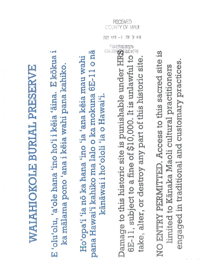# WAIAHIOKOLE BURIAL PRESERVE WAIAHIOKOLE BURIAL PRESERVE

E 'olu'olu, 'a'ole hana 'ino ho'i i keia 'aina. E kōkua i E 'olu'olu, 'a'ole hana 'mo ho'i I këia 'ama. E kökua I ka mālama pono 'ana i kēia wahi pana kahiko. ka mãlama pono 'ana I këia wahi pana kahiko.

pana Hawai'i kahiko ma lalo o ka mokuna 6E-11 o nā pana Hawai'i kahiko ma lab o ka mokuna 6El 1 0 na Ho'opa'i 'ia nō ka hana 'ino 'ia 'ana keia mau wahi Ho'opa'i 'ia no ka hana 'mo 'ía 'ana këia mau wahi kānāwai i hoʻololi 'ia o Hawai'i. kãnãwai I ho'ololi 'Ia o Hawai'i.

Damage to this historic site is punishable under HRS<sup>3</sup><br>6E-11, subject to a fine of \$10,000. It is unlawful to Damage to this historic site is punishable under HRS take, alter, or destroy any part of this historic site. GE-il, subject to afine of \$10,000. Itis unlawful to take, alter, or destroy any part of this historic site.

COUNTY OF MALL

2022

 $B<sub>4</sub>$ 

RECEIVED

NO ENTRY PERMITTED. Access to this sacred site is NO ENTRY PERMITTED. Access to this sacred site is engaged in traditional and customary practices. engaged in traditional and customary practices.limited to Kānaka Maoli cultural practitioners limited to Kãnaka Maoli cultural practitioners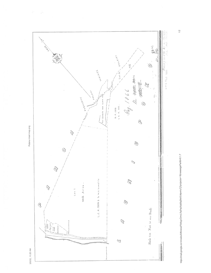

 $\frac{1}{2} \left( \tau \right)$ 

https://mail.google.com/mail/u/0/#inbox/FM/tcgzGmvLRqPsdXskBqBhkfLMpwhzTj?projeclor=1&messagePartld=0.1.7

 $1/2$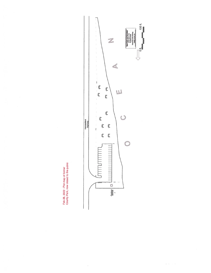Feb 28, 2022 - Plot map of former<br>County Park, now closed to the public

 $\tilde{\psi}$ 



 $\alpha$  is  $-$  to  $\pm$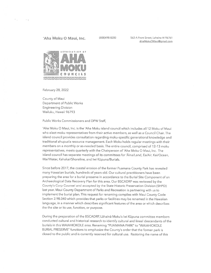$\Gamma_{\rm max}$ 

 $\sim$   $\sim$ 

'Aha Moku O Maui, Inc. (808)498-8200 562-A Front Street, Lahaina HI 96761 AhaMokuOMaui@Qmail.com



February 28, 2022

County of Maui Department of Public Works Engineering Division Wailuku, Hawaii 96793

Public Works Commissioners and DPW Staff,

'Aha Moku O Maui, Inc. is the 'Aha Moku island council which includes all 12 Moku of Maui who elect moku representatives from their active members, as well as <sup>a</sup> Council Chair. The island council provides consultation regarding moku-specific generational knowledge and traditional ahupua'a resource management. Each Moku holds regular meetings with their members on <sup>a</sup> monthly or as-needed basis. The entire council, comprised of 12-13 moku representatives, meets quarterly with the Chairperson of 'Aha Moku 0 Maui, Inc. The island council has separate meetings of its committees for 'Ama/Land, Ea/Air, Kai/Ocean, Wai/Water, Kahakai/Shoreline, and Iwi Küpuna/Burials.

Since before 2017, the coastal erosion of the former Puamana County Park has revealed many Hawaiian burials, hundreds of years old. Our cultural practitioners have been preparing the area for <sup>a</sup> burial preserve in accordance to the Burial Site Component of an Archaeological Data Recovery Plan for this area. Our BSCADRP was reviewed by the County's Corp Counsel and accepted by the State Historic Preservation Division (SHPD) last year. Maui County Department of Parks and Recreation is partnering with us to implement the burial <sup>p</sup>lan. This reques<sup>t</sup> for renaming complies with Maui County Code Section 2.98.040 which provides that parks or facilities may be renamed in the Hawaiian language, in <sup>a</sup> manner which describes significant features of the area or which describes the the site or its use, function, or purpose.

During the preparation of the BSCADRP, Lāhainā Moku's Iwi Kūpuna committee members conducted cultural and historical research to identify cultural and lineal descendants of the burials in this WAIAHIOKOLE area. Renaming "PUAMANA PARK" to "WAIAHIOKOLE BURIAL PRESERVE" functions to emphasize the County's order that the former par<sup>k</sup> is closed to the public and is currently reserved for cultural use. Restoring the name of this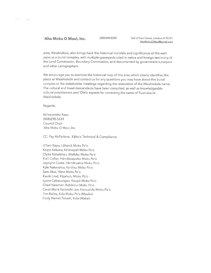#### Aha Moku 0 Maui, Inc. (808)498-8200 562-A Front Street, Lahaina HI <sup>96761</sup>

area, Waiahiokole, also brings back the historical mo'olelo and significance of this wahi pana as <sup>a</sup> burial complex, with multiple graveyards cited in native and foreign testimony of the Land Commission, Boundary Commission, and documented by governmen<sup>t</sup> surveyors and other cartographers.

We encourage you to examine the historical map of this area which clearly identifies this <sup>p</sup>lace as Waiahiokole and contact us for any questions you may have about this burial complex or the stakeholder meetings regarding the restoration of the Waiahiokole name. The cultural and lineal descendants have been consulted, as well as knowledgeable cultural practitioners and 'Olelo experts for correcting the name of Puamana to Waiahiokole.

Regards,

 $V_{\rm eff}$  .

 $\rightarrow$ 

Ke'eaumoku Kapu (808)298-5639 Council Chair 'Aha Moku 0 Maui, Inc.

CC: Fey McFarlane, Kàko'o Technical & Compliance

U'ilani Kapu, Lähainã Moku Po'o Kaipo Kekona, Ka'anapali Moku Po'o Clyde Kahalehau, Wailuku Moku Po'o Kia'i Collier, Hamakuapoko Moku Po'o Joyclynn Costa, Hãmâkualoa Moku Po'o Kyle Nakanelua, Ko'olau Moku Po'o Sam Akoi, Hana Moku Po'o Kaulki Lind, Kipahulu Moku Po'o Lyons Cabacungan, Kaupa Moku Po'o Chad Newman, Kahikinui Moku Po'o Carol-Marie Ka'onohi Lee, Honua'ula Moku Po'o Tim Bailey, Kula Moku Po'o (Mauka) Cody Nemet Tuivaiti, Kula (Makai)